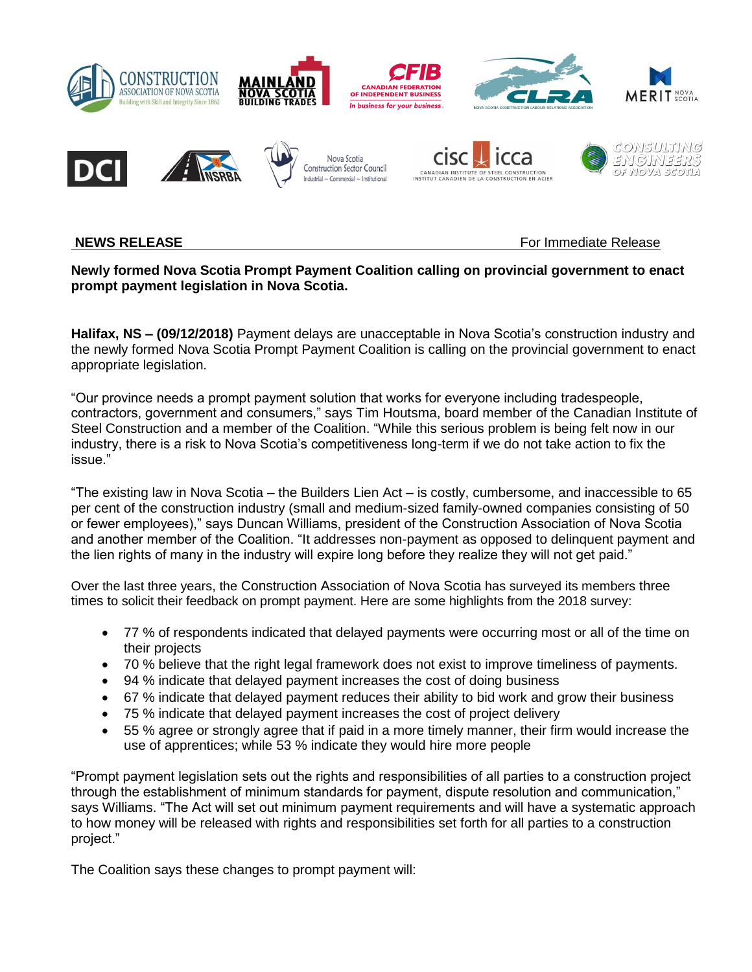

**NEWS RELEASE** For Immediate Release **For Immediate Release** 

## **Newly formed Nova Scotia Prompt Payment Coalition calling on provincial government to enact prompt payment legislation in Nova Scotia.**

**Halifax, NS – (09/12/2018)** Payment delays are unacceptable in Nova Scotia's construction industry and the newly formed Nova Scotia Prompt Payment Coalition is calling on the provincial government to enact appropriate legislation.

"Our province needs a prompt payment solution that works for everyone including tradespeople, contractors, government and consumers," says Tim Houtsma, board member of the Canadian Institute of Steel Construction and a member of the Coalition. "While this serious problem is being felt now in our industry, there is a risk to Nova Scotia's competitiveness long-term if we do not take action to fix the issue."

"The existing law in Nova Scotia – the Builders Lien Act – is costly, cumbersome, and inaccessible to 65 per cent of the construction industry (small and medium-sized family-owned companies consisting of 50 or fewer employees)," says Duncan Williams, president of the Construction Association of Nova Scotia and another member of the Coalition. "It addresses non-payment as opposed to delinquent payment and the lien rights of many in the industry will expire long before they realize they will not get paid."

Over the last three years, the Construction Association of Nova Scotia has surveyed its members three times to solicit their feedback on prompt payment. Here are some highlights from the 2018 survey:

- 77 % of respondents indicated that delayed payments were occurring most or all of the time on their projects
- 70 % believe that the right legal framework does not exist to improve timeliness of payments.
- 94 % indicate that delayed payment increases the cost of doing business
- 67 % indicate that delayed payment reduces their ability to bid work and grow their business
- 75 % indicate that delayed payment increases the cost of project delivery
- 55 % agree or strongly agree that if paid in a more timely manner, their firm would increase the use of apprentices; while 53 % indicate they would hire more people

"Prompt payment legislation sets out the rights and responsibilities of all parties to a construction project through the establishment of minimum standards for payment, dispute resolution and communication," says Williams. "The Act will set out minimum payment requirements and will have a systematic approach to how money will be released with rights and responsibilities set forth for all parties to a construction project."

The Coalition says these changes to prompt payment will: